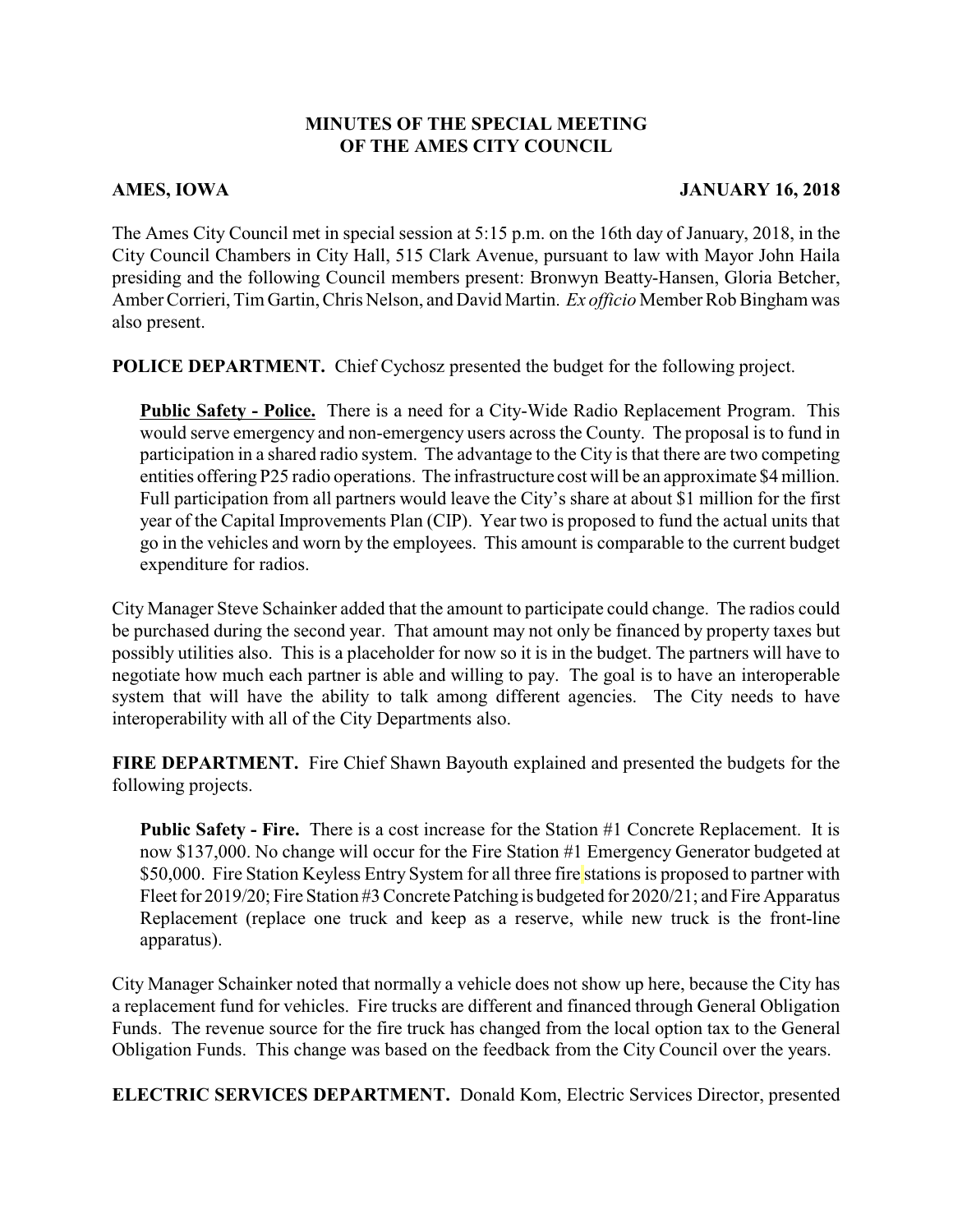## **MINUTES OF THE SPECIAL MEETING OF THE AMES CITY COUNCIL**

## **AMES, IOWA JANUARY 16, 2018**

The Ames City Council met in special session at 5:15 p.m. on the 16th day of January, 2018, in the City Council Chambers in City Hall, 515 Clark Avenue, pursuant to law with Mayor John Haila presiding and the following Council members present: Bronwyn Beatty-Hansen, Gloria Betcher, Amber Corrieri, Tim Gartin, Chris Nelson, and David Martin. *Ex officio* Member Rob Bingham was also present.

**POLICE DEPARTMENT.** Chief Cychosz presented the budget for the following project.

**Public Safety - Police.** There is a need for a City-Wide Radio Replacement Program. This would serve emergency and non-emergency users across the County. The proposal is to fund in participation in a shared radio system. The advantage to the City is that there are two competing entities offering P25 radio operations. The infrastructure cost will be an approximate \$4 million. Full participation from all partners would leave the City's share at about \$1 million for the first year of the Capital Improvements Plan (CIP). Year two is proposed to fund the actual units that go in the vehicles and worn by the employees. This amount is comparable to the current budget expenditure for radios.

City Manager Steve Schainker added that the amount to participate could change. The radios could be purchased during the second year. That amount may not only be financed by property taxes but possibly utilities also. This is a placeholder for now so it is in the budget. The partners will have to negotiate how much each partner is able and willing to pay. The goal is to have an interoperable system that will have the ability to talk among different agencies. The City needs to have interoperability with all of the City Departments also.

**FIRE DEPARTMENT.** Fire Chief Shawn Bayouth explained and presented the budgets for the following projects.

**Public Safety - Fire.** There is a cost increase for the Station #1 Concrete Replacement. It is now \$137,000. No change will occur for the Fire Station #1 Emergency Generator budgeted at \$50,000. Fire Station Keyless Entry System for all three fire stations is proposed to partner with Fleet for 2019/20; Fire Station #3 Concrete Patching is budgeted for 2020/21; and Fire Apparatus Replacement (replace one truck and keep as a reserve, while new truck is the front-line apparatus).

City Manager Schainker noted that normally a vehicle does not show up here, because the City has a replacement fund for vehicles. Fire trucks are different and financed through General Obligation Funds. The revenue source for the fire truck has changed from the local option tax to the General Obligation Funds. This change was based on the feedback from the City Council over the years.

**ELECTRIC SERVICES DEPARTMENT.** Donald Kom, Electric Services Director, presented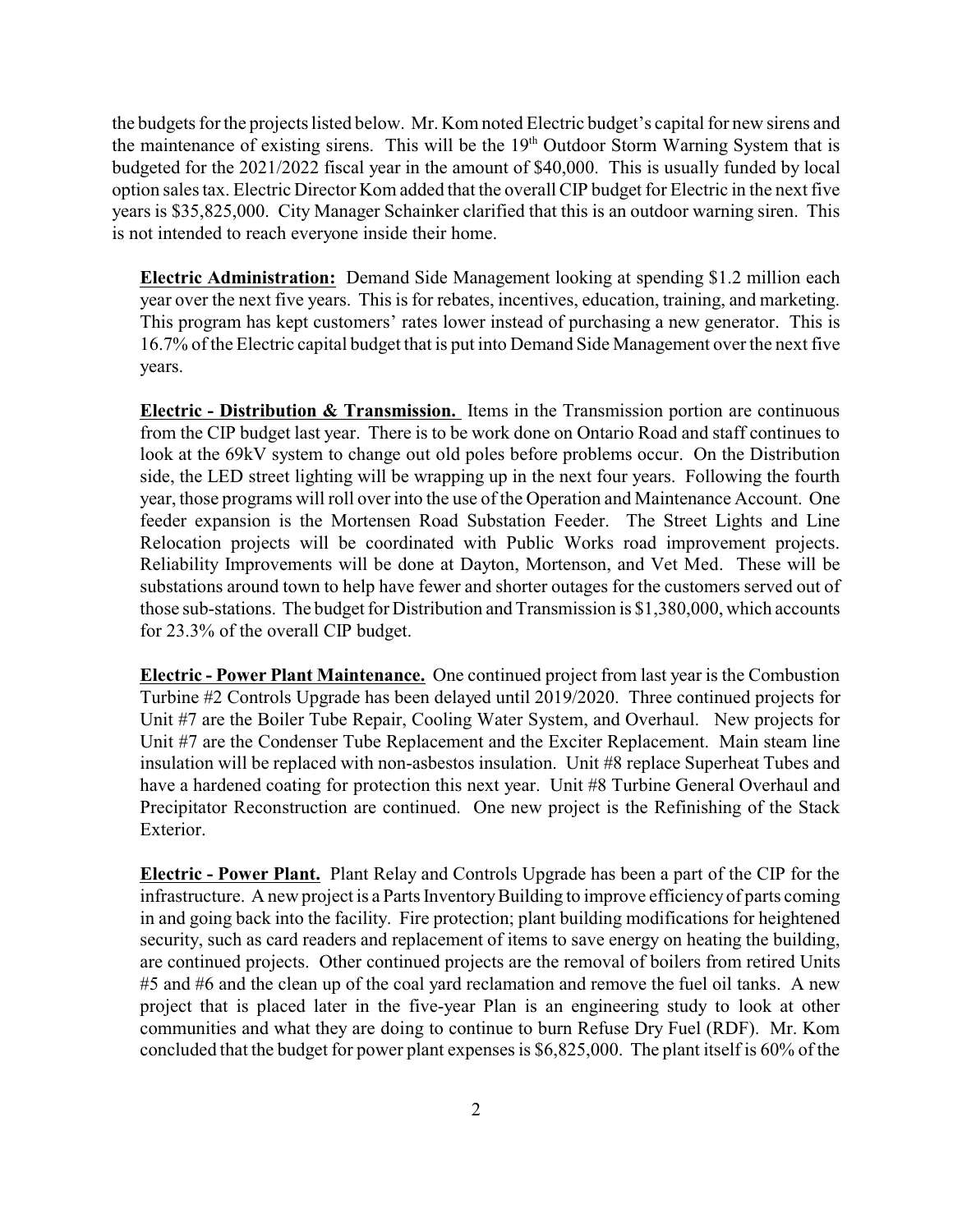the budgets for the projects listed below. Mr. Kom noted Electric budget's capital for new sirens and the maintenance of existing sirens. This will be the  $19<sup>th</sup>$  Outdoor Storm Warning System that is budgeted for the 2021/2022 fiscal year in the amount of \$40,000. This is usually funded by local option sales tax. Electric Director Kom added that the overall CIP budget for Electric in the next five years is \$35,825,000. City Manager Schainker clarified that this is an outdoor warning siren. This is not intended to reach everyone inside their home.

**Electric Administration:** Demand Side Management looking at spending \$1.2 million each year over the next five years. This is for rebates, incentives, education, training, and marketing. This program has kept customers' rates lower instead of purchasing a new generator. This is 16.7% of the Electric capital budget that is put into Demand Side Management over the next five years.

**Electric - Distribution & Transmission.** Items in the Transmission portion are continuous from the CIP budget last year. There is to be work done on Ontario Road and staff continues to look at the 69kV system to change out old poles before problems occur. On the Distribution side, the LED street lighting will be wrapping up in the next four years. Following the fourth year, those programs will roll over into the use of the Operation and Maintenance Account. One feeder expansion is the Mortensen Road Substation Feeder. The Street Lights and Line Relocation projects will be coordinated with Public Works road improvement projects. Reliability Improvements will be done at Dayton, Mortenson, and Vet Med. These will be substations around town to help have fewer and shorter outages for the customers served out of those sub-stations. The budget for Distribution and Transmission is \$1,380,000, which accounts for 23.3% of the overall CIP budget.

**Electric - Power Plant Maintenance.** One continued project from last year is the Combustion Turbine #2 Controls Upgrade has been delayed until 2019/2020. Three continued projects for Unit #7 are the Boiler Tube Repair, Cooling Water System, and Overhaul. New projects for Unit #7 are the Condenser Tube Replacement and the Exciter Replacement. Main steam line insulation will be replaced with non-asbestos insulation. Unit #8 replace Superheat Tubes and have a hardened coating for protection this next year. Unit #8 Turbine General Overhaul and Precipitator Reconstruction are continued. One new project is the Refinishing of the Stack Exterior.

**Electric - Power Plant.** Plant Relay and Controls Upgrade has been a part of the CIP for the infrastructure. A new project is a Parts Inventory Building to improve efficiency of parts coming in and going back into the facility. Fire protection; plant building modifications for heightened security, such as card readers and replacement of items to save energy on heating the building, are continued projects. Other continued projects are the removal of boilers from retired Units #5 and #6 and the clean up of the coal yard reclamation and remove the fuel oil tanks. A new project that is placed later in the five-year Plan is an engineering study to look at other communities and what they are doing to continue to burn Refuse Dry Fuel (RDF). Mr. Kom concluded that the budget for power plant expenses is \$6,825,000. The plant itself is 60% of the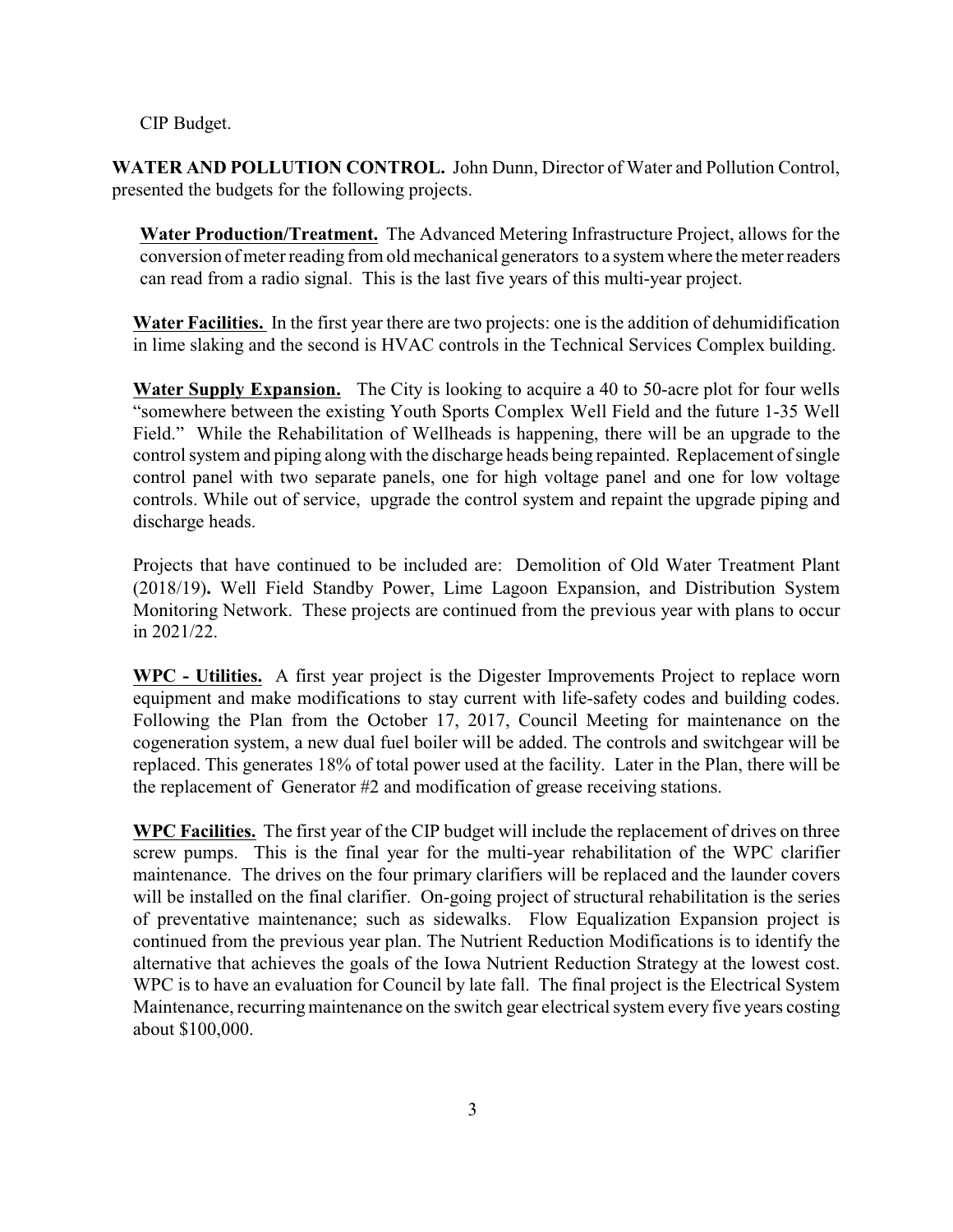CIP Budget.

**WATER AND POLLUTION CONTROL.** John Dunn, Director of Water and Pollution Control, presented the budgets for the following projects.

**Water Production/Treatment.** The Advanced Metering Infrastructure Project, allows for the conversion of meter reading from old mechanical generators to a system where the meter readers can read from a radio signal. This is the last five years of this multi-year project.

**Water Facilities.** In the first year there are two projects: one is the addition of dehumidification in lime slaking and the second is HVAC controls in the Technical Services Complex building.

**Water Supply Expansion.** The City is looking to acquire a 40 to 50-acre plot for four wells "somewhere between the existing Youth Sports Complex Well Field and the future 1-35 Well Field." While the Rehabilitation of Wellheads is happening, there will be an upgrade to the control system and piping along with the discharge heads being repainted. Replacement of single control panel with two separate panels, one for high voltage panel and one for low voltage controls. While out of service, upgrade the control system and repaint the upgrade piping and discharge heads.

Projects that have continued to be included are: Demolition of Old Water Treatment Plant (2018/19)**.** Well Field Standby Power, Lime Lagoon Expansion, and Distribution System Monitoring Network. These projects are continued from the previous year with plans to occur in 2021/22.

**WPC - Utilities.** A first year project is the Digester Improvements Project to replace worn equipment and make modifications to stay current with life-safety codes and building codes. Following the Plan from the October 17, 2017, Council Meeting for maintenance on the cogeneration system, a new dual fuel boiler will be added. The controls and switchgear will be replaced. This generates 18% of total power used at the facility. Later in the Plan, there will be the replacement of Generator #2 and modification of grease receiving stations.

**WPC Facilities.** The first year of the CIP budget will include the replacement of drives on three screw pumps. This is the final year for the multi-year rehabilitation of the WPC clarifier maintenance. The drives on the four primary clarifiers will be replaced and the launder covers will be installed on the final clarifier. On-going project of structural rehabilitation is the series of preventative maintenance; such as sidewalks. Flow Equalization Expansion project is continued from the previous year plan. The Nutrient Reduction Modifications is to identify the alternative that achieves the goals of the Iowa Nutrient Reduction Strategy at the lowest cost. WPC is to have an evaluation for Council by late fall. The final project is the Electrical System Maintenance, recurring maintenance on the switch gear electrical system every five years costing about \$100,000.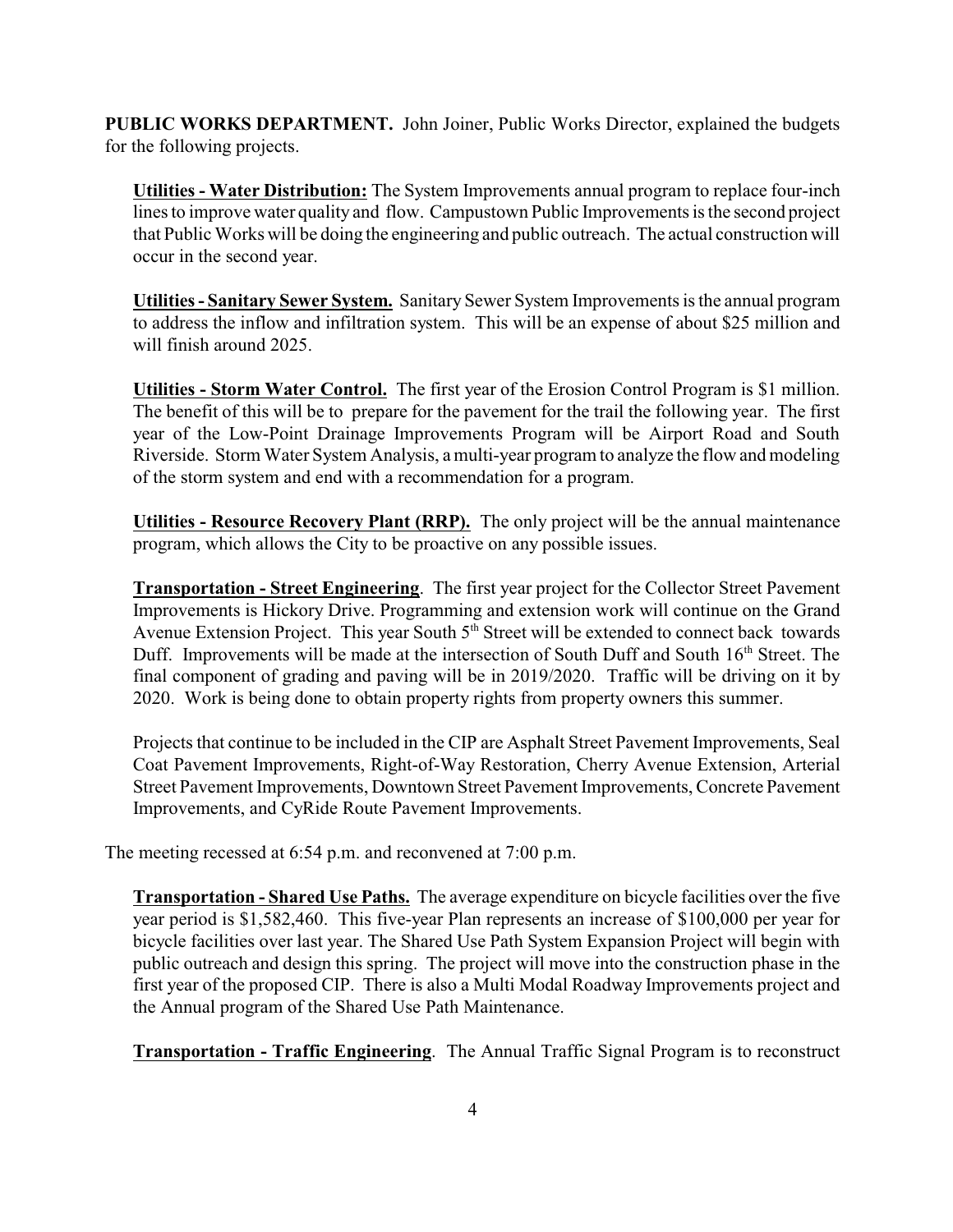**PUBLIC WORKS DEPARTMENT.** John Joiner, Public Works Director, explained the budgets for the following projects.

**Utilities - Water Distribution:** The System Improvements annual program to replace four-inch lines to improve water quality and flow. Campustown Public Improvements is the second project that Public Works will be doing the engineering and public outreach. The actual construction will occur in the second year.

**Utilities - Sanitary Sewer System.** Sanitary Sewer System Improvements is the annual program to address the inflow and infiltration system. This will be an expense of about \$25 million and will finish around 2025.

**Utilities - Storm Water Control.** The first year of the Erosion Control Program is \$1 million. The benefit of this will be to prepare for the pavement for the trail the following year. The first year of the Low-Point Drainage Improvements Program will be Airport Road and South Riverside. Storm Water System Analysis, a multi-year program to analyze the flow and modeling of the storm system and end with a recommendation for a program.

**Utilities - Resource Recovery Plant (RRP).** The only project will be the annual maintenance program, which allows the City to be proactive on any possible issues.

**Transportation - Street Engineering**. The first year project for the Collector Street Pavement Improvements is Hickory Drive. Programming and extension work will continue on the Grand Avenue Extension Project. This year South 5<sup>th</sup> Street will be extended to connect back towards Duff. Improvements will be made at the intersection of South Duff and South 16<sup>th</sup> Street. The final component of grading and paving will be in 2019/2020. Traffic will be driving on it by 2020. Work is being done to obtain property rights from property owners this summer.

Projects that continue to be included in the CIP are Asphalt Street Pavement Improvements, Seal Coat Pavement Improvements, Right-of-Way Restoration, Cherry Avenue Extension, Arterial Street Pavement Improvements, Downtown Street Pavement Improvements, Concrete Pavement Improvements, and CyRide Route Pavement Improvements.

The meeting recessed at 6:54 p.m. and reconvened at 7:00 p.m.

**Transportation - Shared Use Paths.** The average expenditure on bicycle facilities over the five year period is \$1,582,460. This five-year Plan represents an increase of \$100,000 per year for bicycle facilities over last year. The Shared Use Path System Expansion Project will begin with public outreach and design this spring. The project will move into the construction phase in the first year of the proposed CIP. There is also a Multi Modal Roadway Improvements project and the Annual program of the Shared Use Path Maintenance.

**Transportation - Traffic Engineering**. The Annual Traffic Signal Program is to reconstruct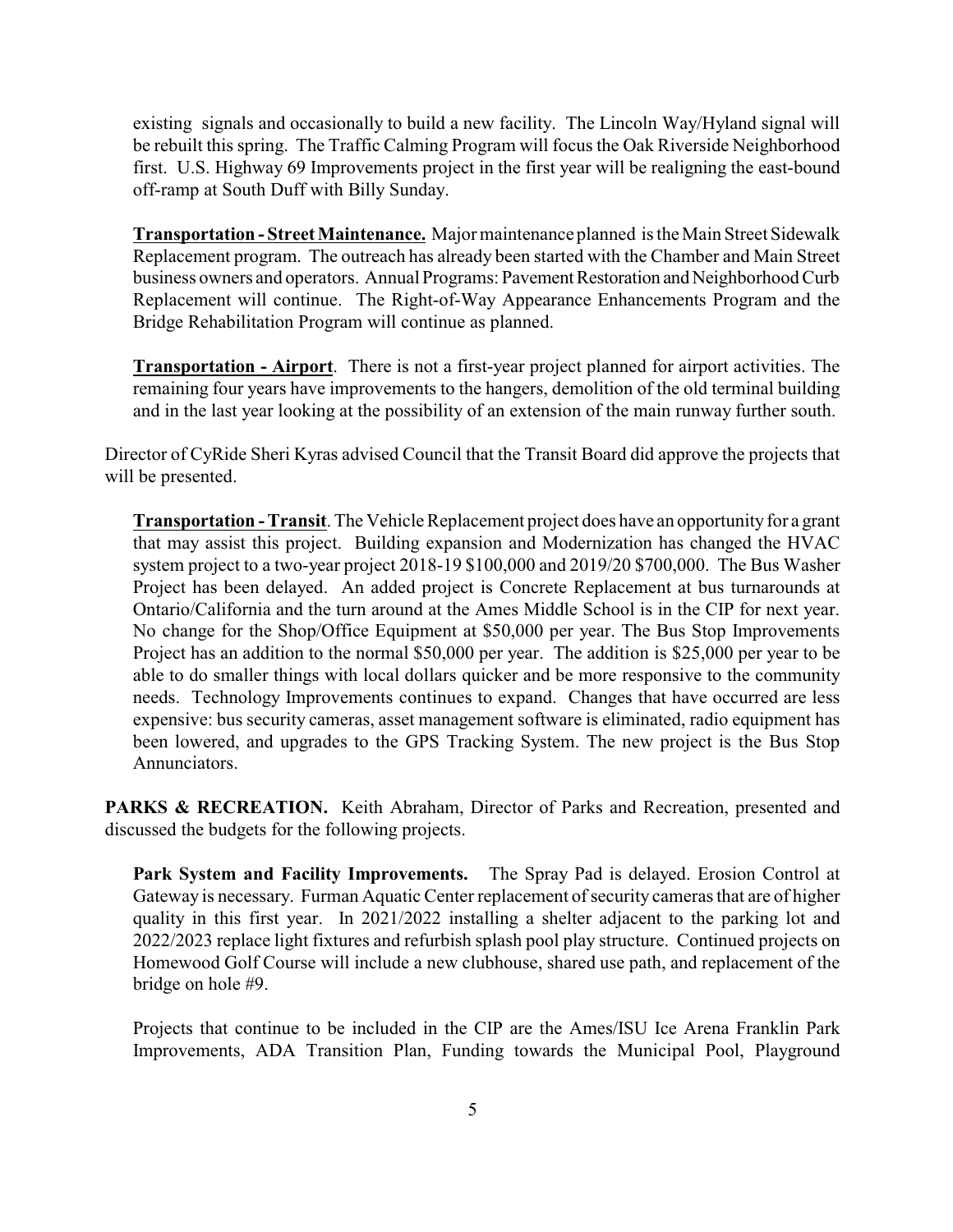existing signals and occasionally to build a new facility. The Lincoln Way/Hyland signal will be rebuilt this spring. The Traffic Calming Program will focus the Oak Riverside Neighborhood first. U.S. Highway 69 Improvements project in the first year will be realigning the east-bound off-ramp at South Duff with Billy Sunday.

**Transportation - Street Maintenance.** Major maintenance planned is the Main Street Sidewalk Replacement program. The outreach has already been started with the Chamber and Main Street business owners and operators. Annual Programs: Pavement Restoration and Neighborhood Curb Replacement will continue. The Right-of-Way Appearance Enhancements Program and the Bridge Rehabilitation Program will continue as planned.

**Transportation - Airport**. There is not a first-year project planned for airport activities. The remaining four years have improvements to the hangers, demolition of the old terminal building and in the last year looking at the possibility of an extension of the main runway further south.

Director of CyRide Sheri Kyras advised Council that the Transit Board did approve the projects that will be presented.

**Transportation - Transit**. The Vehicle Replacement project does have an opportunity for a grant that may assist this project. Building expansion and Modernization has changed the HVAC system project to a two-year project 2018-19 \$100,000 and 2019/20 \$700,000. The Bus Washer Project has been delayed. An added project is Concrete Replacement at bus turnarounds at Ontario/California and the turn around at the Ames Middle School is in the CIP for next year. No change for the Shop/Office Equipment at \$50,000 per year. The Bus Stop Improvements Project has an addition to the normal \$50,000 per year. The addition is \$25,000 per year to be able to do smaller things with local dollars quicker and be more responsive to the community needs. Technology Improvements continues to expand. Changes that have occurred are less expensive: bus security cameras, asset management software is eliminated, radio equipment has been lowered, and upgrades to the GPS Tracking System. The new project is the Bus Stop Annunciators.

**PARKS & RECREATION.** Keith Abraham, Director of Parks and Recreation, presented and discussed the budgets for the following projects.

**Park System and Facility Improvements.** The Spray Pad is delayed. Erosion Control at Gateway is necessary. Furman Aquatic Center replacement of security cameras that are of higher quality in this first year. In 2021/2022 installing a shelter adjacent to the parking lot and 2022/2023 replace light fixtures and refurbish splash pool play structure. Continued projects on Homewood Golf Course will include a new clubhouse, shared use path, and replacement of the bridge on hole #9.

Projects that continue to be included in the CIP are the Ames/ISU Ice Arena Franklin Park Improvements, ADA Transition Plan, Funding towards the Municipal Pool, Playground